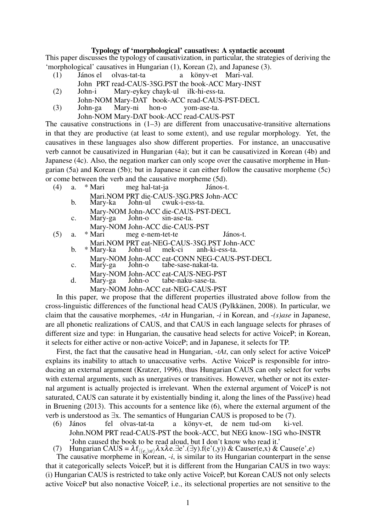## Typology of 'morphological' causatives: A syntactic account

This paper discusses the typology of causativization, in particular, the strategies of deriving the 'morphological' causatives in Hungarian (1), Korean (2), and Japanese (3).

- János el olvas-tat-ta a könyv-et Mari-val.  $(1)$
- John PRT read-CAUS-3SG.PST the book-ACC Mary-INST
- $(2)$ John-i Mary-eykey chayk-ul ilk-hi-ess-ta.
- John-NOM Mary-DAT book-ACC read-CAUS-PST-DECL
- hon-o  $(3)$ Mary-ni John-ga vom-ase-ta.
	- John-NOM Mary-DAT book-ACC read-CAUS-PST

The causative constructions in  $(1-3)$  are different from unaccusative-transitive alternations in that they are productive (at least to some extent), and use regular morphology. Yet, the causatives in these languages also show different properties. For instance, an unaccusative verb cannot be causativized in Hungarian (4a); but it can be causativized in Korean (4b) and Japanese (4c). Also, the negation marker can only scope over the causative morpheme in Hungarian (5a) and Korean (5b); but in Japanese it can either follow the causative morpheme (5c) or come between the verb and the causative morpheme (5d).

- $(4)$ a. \* Mari meg hal-tat-ja János-t.
	- Mari.NOM PRT die-CAUS-3SG.PRS John-ACC
	- $<sub>b</sub>$ </sub> Mary-ka John-ul cwuk-i-ess-ta. Mary-NOM John-ACC die-CAUS-PST-DECL
		- John-o Mary-ga sin-ase-ta.

 $\mathcal{C}$ 

- Mary-NOM John-ACC die-CAUS-PST
- \* Mari  $(5)$  $a<sub>1</sub>$ meg e-nem-tet-te János-t.

Mari.NOM PRT eat-NEG-CAUS-3SG.PST John-ACC

- \* Mary-ka b. John-ul mek-ci anh-ki-ess-ta.
	- Mary-NOM John-ACC eat-CONN NEG-CAUS-PST-DECL
- $\mathbf{C}$ . Mary-ga John-o tabe-sase-nakat-ta.
- Mary-NOM John-ACC eat-CAUS-NEG-PST  $\mathbf{d}$ . Mary-ga John-o tabe-naku-sase-ta.
	- Mary-NOM John-ACC eat-NEG-CAUS-PST

In this paper, we propose that the different properties illustrated above follow from the cross-linguistic differences of the functional head CAUS (Pylkkänen, 2008). In particular, we claim that the causative morphemes,  $- tAt$  in Hungarian,  $- i$  in Korean, and  $- (s)$  ase in Japanese. are all phonetic realizations of CAUS, and that CAUS in each language selects for phrases of different size and type: in Hungarian, the causative head selects for active VoiceP; in Korean, it selects for either active or non-active VoiceP; and in Japanese, it selects for TP.

First, the fact that the causative head in Hungarian, -tAt, can only select for active VoiceP explains its inability to attach to unaccusative verbs. Active VoiceP is responsible for introducing an external argument (Kratzer, 1996), thus Hungarian CAUS can only select for verbs with external arguments, such as unergatives or transitives. However, whether or not its external argument is actually projected is irrelevant. When the external argument of VoiceP is not saturated, CAUS can saturate it by existentially binding it, along the lines of the Pass(ive) head in Bruening (2013). This accounts for a sentence like (6), where the external argument of the verb is understood as  $\exists x$ . The semantics of Hungarian CAUS is proposed to be (7).

- $(6)$ János fel olvas-tat-ta a könyv-et, de nem tud-om ki-vel. John. NOM PRT read-CAUS-PST the book-ACC, but NEG know-1SG who-INSTR
- 

'John caused the book to be read aloud, but I don't know who read it.'<br>
7) Hungarian CAUS =  $\lambda f_{\{(e_i)st)}\lambda x \lambda e.\exists e'.(\exists y).f(e'(y)) \&$  Causer(e,x) & Cause(e',e)<br>
The causative morpheme in Korean, -*i*, is similar to its Hungarian that it categorically selects VoiceP, but it is different from the Hungarian CAUS in two ways: (i) Hungarian CAUS is restricted to take only active VoiceP, but Korean CAUS not only selects active VoiceP but also nonactive VoiceP, i.e., its selectional properties are not sensitive to the